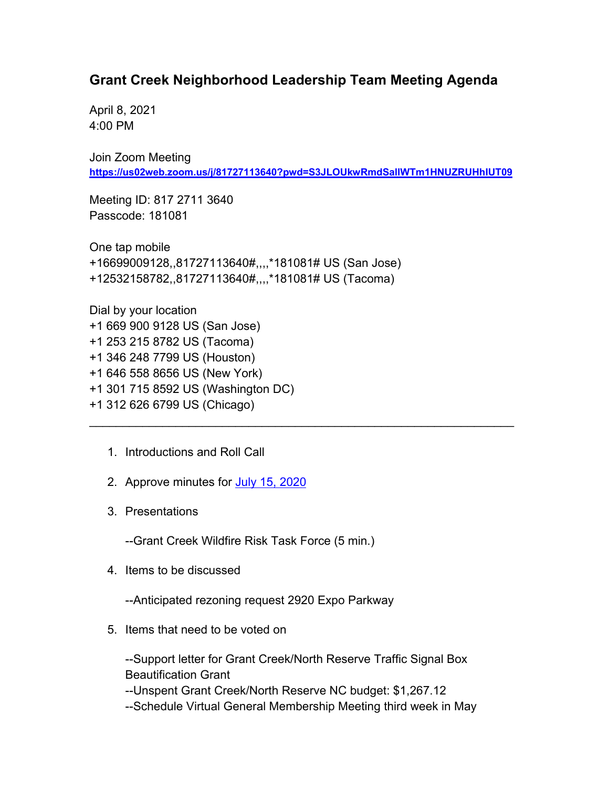## **Grant Creek Neighborhood Leadership Team Meeting Agenda**

April 8, 2021 4:00 PM

Join Zoom Meeting **<https://us02web.zoom.us/j/81727113640?pwd=S3JLOUkwRmdSallWTm1HNUZRUHhIUT09>**

\_\_\_\_\_\_\_\_\_\_\_\_\_\_\_\_\_\_\_\_\_\_\_\_\_\_\_\_\_\_\_\_\_\_\_\_\_\_\_\_\_\_\_\_\_\_\_\_\_\_\_\_\_\_\_\_\_\_\_\_\_\_\_\_

Meeting ID: 817 2711 3640 Passcode: 181081

One tap mobile +16699009128,,81727113640#,,,,\*181081# US (San Jose) +12532158782,,81727113640#,,,,\*181081# US (Tacoma)

Dial by your location +1 669 900 9128 US (San Jose) +1 253 215 8782 US (Tacoma) +1 346 248 7799 US (Houston) +1 646 558 8656 US (New York) +1 301 715 8592 US (Washington DC) +1 312 626 6799 US (Chicago)

- 1. Introductions and Roll Call
- 2. Approve minutes for [July 15, 2020](https://www.ci.missoula.mt.us/Archive.aspx?ADID=15476)
- 3. Presentations

--Grant Creek Wildfire Risk Task Force (5 min.)

4. Items to be discussed

--Anticipated rezoning request 2920 Expo Parkway

5. Items that need to be voted on

--Support letter for Grant Creek/North Reserve Traffic Signal Box Beautification Grant

--Unspent Grant Creek/North Reserve NC budget: \$1,267.12 --Schedule Virtual General Membership Meeting third week in May